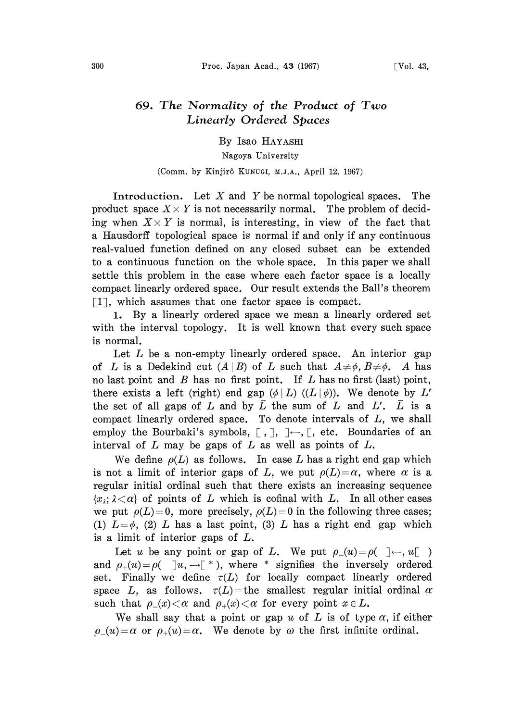## 69. The Normality of the Product of Two Linearly Ordered Spaces

By Isao HAYASHI

Nagoya University

## (Comm. by Kinjirô KUNUGI, M.J.A., April 12, 1967)

Introduction. Let  $X$  and  $Y$  be normal topological spaces. The product space  $X \times Y$  is not necessarily normal. The problem of deciding when  $X \times Y$  is normal, is interesting, in view of the fact that a Hausdorff topological space is normal if and only if any continuous real-valued function defined on any closed subset can be extended to a continuous function on the whole space. In this paper we shall settle this problem in the case where each factor space is a locally compact linearly ordered space. Our result extends the Ball's theorem [1], which assumes that one factor space is compact.

1. By a linearly ordered space we mean a linearly ordered set with the interval topology. It is well known that every such space is normal.

Let  $L$  be a non-empty linearly ordered space. An interior gap of L is a Dedekind cut  $(A|B)$  of L such that  $A\neq\phi$ ,  $B\neq\phi$ . A has no last point and  $B$  has no first point. If  $L$  has no first (last) point, there exists a left (right) end gap  $(\phi | L)$  ( $(L | \phi)$ ). We denote by L' the set of all gaps of L and by  $\overline{L}$  the sum of L and L'.  $\overline{L}$  is a compact linearly ordered space. To denote intervals of L, we shall employ the Bourbaki's symbols,  $[ , ] , ] \leftarrow , [ , etc.$  Boundaries of an interval of  $L$  may be gaps of  $L$  as well as points of  $L$ .

We define  $\rho(L)$  as follows. In case L has a right end gap which is not a limit of interior gaps of L, we put  $\rho(L)=\alpha$ , where  $\alpha$  is a regular initial ordinal such that there exists an increasing sequence  $\{x_i; \lambda \leq \alpha\}$  of points of L which is cofinal with L. In all other cases we put  $\rho(L)=0$ , more precisely,  $\rho(L)=0$  in the following three cases: (1)  $L=\phi$ , (2) L has a last point, (3) L has a right end gap which is a limit of interior gaps of  $L$ .

Let u be any point or gap of L. We put  $\rho_-(u)=\rho(\_\_\_\_u)$ . and  $\rho_+(u) = \rho(\square | u, \square |^*)$ , where \* signifies the inversely ordered set. Finally we define  $\tau(L)$  for locally compact linearly ordered space L, as follows.  $\tau(L)$ =the smallest regular initial ordinal  $\alpha$ such that  $\rho(x) < \alpha$  and  $\rho(x) < \alpha$  for every point  $x \in L$ .

We shall say that a point or gap u of L is of type  $\alpha$ , if either  $\rho(u) = \alpha$  or  $\rho_+(u) = \alpha$ . We denote by  $\omega$  the first infinite ordinal.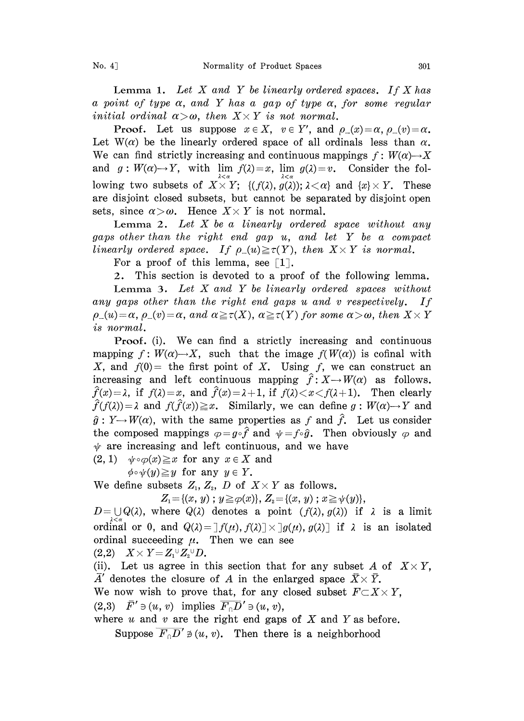Lemma 1. Let  $X$  and  $Y$  be linearly ordered spaces. If  $X$  has a point of type  $\alpha$ , and Y has a gap of type  $\alpha$ , for some regular **Lemma 1.** Let X and Y be linearly ordered a point of type  $\alpha$ , and Y has a gap of type  $\alpha$ , initial ordinal  $\alpha > \omega$ , then  $X \times Y$  is not normal.

**Proof.** Let us suppose  $x \in X$ ,  $v \in Y'$ , and  $\rho(x) = \alpha$ ,  $\rho(x) = \alpha$ . Let  $W(\alpha)$  be the linearly ordered space of all ordinals less than  $\alpha$ . We can find strictly increasing and continuous mappings  $f: W(\alpha) \rightarrow X$ and  $g: W(\alpha) \to Y$ , with  $\lim_{\lambda \to \alpha} f(\lambda) = x$ ,  $\lim_{\lambda \to \alpha} g(\lambda) = v$ . Consider the following two subsets of  $X \times Y$ ;  $\{(f(\lambda), g(\lambda)); \lambda < \alpha\}$  and  $\{x\} \times Y$ . These are disjoint closed subsets, but cannot be separated by disjoint open sets, since  $\alpha > \omega$ . Hence  $X \times Y$  is not normal. sets, since  $\alpha > \omega$ . Hence  $X \times Y$  is not normal.<br>Lemma 2. Let X be a linearly ordered space without any

gaps other than the right end gap  $u$ , and let Y be a compact linearly ordered space. If  $\rho_-(u) \geq \tau(Y)$ , then  $X \times Y$  is normal.

For a proof of this lemma, see  $\lceil 1 \rceil$ .

2. This section is devoted to a proof of the following lemma.

Lemma 3. Let  $X$  and  $Y$  be linearly ordered spaces without any gaps other than the right end gaps u and <sup>v</sup> respectively. If  $\rho_-(u) = \alpha$ ,  $\rho_-(v) = \alpha$ , and  $\alpha \geq \tau(X)$ ,  $\alpha \geq \tau(Y)$  for some  $\alpha > \omega$ , then  $X \times Y$ is normal.

Proof. (i). We can find <sup>a</sup> strictly increasing and continuous mapping  $f: W(\alpha) \rightarrow X$ , such that the image  $f(W(\alpha))$  is cofinal with X, and  $f(0)$  = the first point of X. Using f, we can construct an increasing and left continuous mapping  $\hat{f}: X \rightarrow W(\alpha)$  as follows.  $\hat{f}(x) = \lambda$ , if  $f(\lambda) = x$ , and  $\hat{f}(x) = \lambda + 1$ , if  $f(\lambda) < x < f(\lambda + 1)$ . Then clearly  $\hat{f}(f(\lambda)) = \lambda$  and  $f(\hat{f}(\lambda)) \geq x$ . Similarly, we can define  $g: W(\alpha) \rightarrow Y$  and the composed mappings  $\varphi = g \circ \hat{f}$  and  $\psi = f \circ \hat{g}$ . Then obviously  $\varphi$  and  $\hat{g}: Y \rightarrow W(\alpha)$ , with the same properties as f and  $\hat{f}$ . Let us consider  $\psi$  are increasing and left continuous, and we have  $(2, 1)$   $\psi \circ \varphi(x) \geq x$  for any  $x \in X$  and

 $\phi \circ \psi(y) \geq y$  for any  $y \in Y$ .

We define subsets  $Z_1, Z_2, D$  of  $X \times Y$  as follows.

$$
Z_1 = \{(x, y) ; y \geq \varphi(x) \}, Z_2 = \{(x, y) ; x \geq \psi(y) \},
$$

 $D=\bigcup Q(\lambda)$ , where  $Q(\lambda)$  denotes a point  $(f(\lambda), g(\lambda))$  if  $\lambda$  is a limit ordinal or 0, and  $Q(\lambda) = [f(\mu), f(\lambda)] \times [g(\mu), g(\lambda)]$  if  $\lambda$  is an isolated ordinal succeeding  $\mu$ . Then we can see

 $(2,2)$   $X \times Y = Z_1^{\cup} Z_2^{\cup} D$ .

(ii). Let us agree in this section that for any subset A of  $X \times Y$ ,  $\overline{A}'$  denotes the closure of A in the enlarged space  $\overline{X} \times \overline{Y}$ .

We now wish to prove that, for any closed subset  $F\subset X\times Y$ ,

 $(2,3)$   $\overline{F}' \ni (u, v)$  implies  $\overline{F_0D}' \ni (u, v)$ ,

where  $u$  and  $v$  are the right end gaps of  $X$  and  $Y$  as before.

Suppose  $\overline{F_0D'} \not\supseteq (u, v)$ . Then there is a neighborhood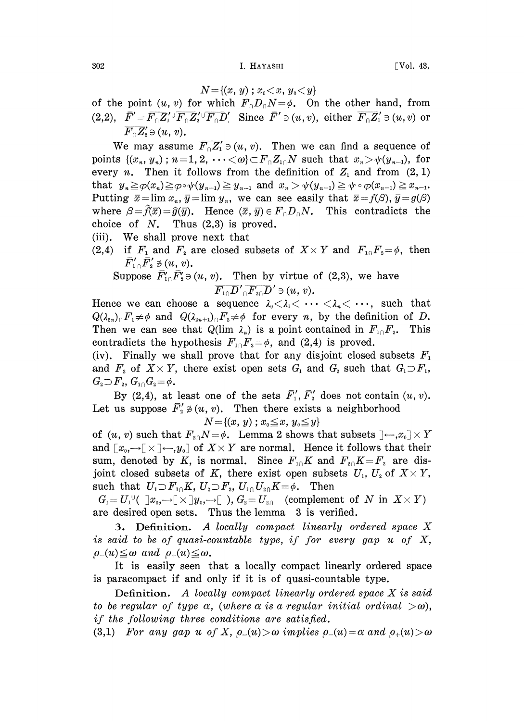$$
N{=}\{(x,\,y)\;;\,x_{\scriptscriptstyle 0}{<}x,\,y_{\scriptscriptstyle 0}{<}y\}
$$

of the point  $(u, v)$  for which  $F_0D_0N=\phi$ . On the other hand, from (2,2), /O'- F-;o-;O-FD: Since /' (u, v), either F' (u, v) or  $\overline{F_{0}Z_{2}} \ni (u, v).$ 

We may assume  $\overline{F_0 Z_1'} \ni (u, v)$ . Then we can find a sequence of points  $\{(x_n, y_n): n=1, 2, \dots <\omega\} \subset F_\cap Z_{1\cap} N$  such that  $x_n > \psi(y_{n-1}),$  for every *n*. Then it follows from the definition of  $Z_1$  and from  $(2, 1)$ that  $y_n \geq \varphi(x_n) \geq \varphi \circ \psi(y_{n-1}) \geq y_{n-1}$  and  $x_n > \psi(y_{n-1}) \geq \psi \circ \varphi(x_{n-1}) \geq x_{n-1}$ . Putting  $\bar{x} = \lim x_n$ ,  $\bar{y} = \lim y_n$ , we can see easily that  $\bar{x} = f(\beta)$ ,  $\bar{y} = g(\beta)$  $\bar{x} = \lim x_n$ ,  $\bar{y} = \lim y_n$ , we can see easily that  $\bar{x} = f(\beta), \bar{y} = g(\beta)$ <br>=  $\hat{f}(\bar{x}) = \hat{g}(\bar{y})$ . Hence  $(\bar{x}, \bar{y}) \in F_0 D_0 N$ . This contradicts the<br>f N. Thus (2,3) is proved.<br>e shall prove next that where  $\beta = \hat{f}(\bar{x}) = \hat{g}(\bar{y})$ . Hence  $(\bar{x}, \bar{y}) \in F_{\cap}D_{\cap}N$ . This contradicts the choice of  $N$ . Thus  $(2,3)$  is proved.

- (iii). We shall prove next that
- (2,4) if  $F_1$  and  $F_2$  are closed subsets of  $X \times Y$  and  $F_{10}F_2 = \phi$ , then  $\bar{F}'_{1} \cap \bar{F}'_{2} \not\ni (u, v).$

Suppose  $\bar{F}_{10}' \bar{F}_2' \ni (u, v)$ . Then by virtue of (2,3), we have  $\overline{F_{10}D'}_0\overline{F_{20}D'}\ni(u, v).$ 

Hence we can choose a sequence  $\lambda_0 < \lambda_1 < \cdots < \lambda_n < \cdots$ , such that  $Q(\lambda_{2n})\_F_1\neq\emptyset$  and  $Q(\lambda_{2n+1})\_F_2\neq\emptyset$  for every n, by the definition of D. Then we can see that  $Q(\lim \lambda_n)$  is a point contained in  $F_{1}F_{2}$ . This contradicts the hypothesis  $F_{10}F_2 = \phi$ , and (2,4) is proved.

(iv). Finally we shall prove that for any disjoint closed subsets  $F_1$  and  $F_2$  of  $X \times Y$ , there exist open sets  $G_1$  and  $G_2$  such that  $G_1 \supset F_1$ , and  $F_2$  of  $X \times Y$ , there exist open sets  $G_1$  and  $G_2$  such that  $G_1 \supset F_1$ ,  $G_2 \supset F_2$ ,  $G_{10}G_2 = \phi$ .

By (2,4), at least one of the sets  $\overline{F}_1', \overline{F}_2'$  does not contain  $(u, v)$ . Let us suppose  $\overline{F}_1' \not\ni (u, v)$ . Then there exists a neighborhood

$$
N\!=\!\{(x,\,y)\;;\,x_{\scriptscriptstyle 0}\!\leq\!x,\,y_{\scriptscriptstyle 0}\!\leq\!y\}
$$

of  $(u, v)$  such that  $F_{20}N=\phi$ . Lemma 2 shows that subsets  $]-,x_0] \times Y$ <br>and  $[x_0, \to [\times] \leftarrow, y_0]$  of  $X \times Y$  are normal. Hence it follows that their sum, denoted by K, is normal. Since  $F_{10}K$  and  $F_{20}K=F_2$  are dis-<br>joint closed subsets of K, there exist open subsets  $U_1$ ,  $U_2$  of  $X \times Y$ , joint closed subsets of K, there exist open subsets  $U_1$ ,  $U_2$  of  $X \times Y$ , such that  $U_1 \supset F_{10}K$ ,  $U_2 \supset F_2$ ,  $U_{10}U_{20}K = \phi$ . Then

 $G_1 = U_1^{\cup}(\exists x_0,\rightarrow \rightarrow \rightarrow \rightarrow \rightarrow \rightarrow G_2)$  (complement of N in  $X \times Y$ ) are desired open sets. Thus the lemma 3 is verified.

3. Definition. A locally compact linearly ordered space X is said to be of quasi-countable type, if for every gap  $u$  of  $X$ ,  $\rho_-(u) \leq \omega$  and  $\rho_+(u) \leq \omega$ .

It is easily seen that a locally compact linearly ordered space is paracompact if and only if it is of quasi-countable type.

Definition. A locally compact linearly ordered space X is said to be regular of type  $\alpha$ , (where  $\alpha$  is a regular initial ordinal  $> \omega$ ), if the following three conditions are satisfied.

(3,1) For any gap u of X,  $\rho_-(u) > \omega$  implies  $\rho_-(u) = \alpha$  and  $\rho_+(u) > \omega$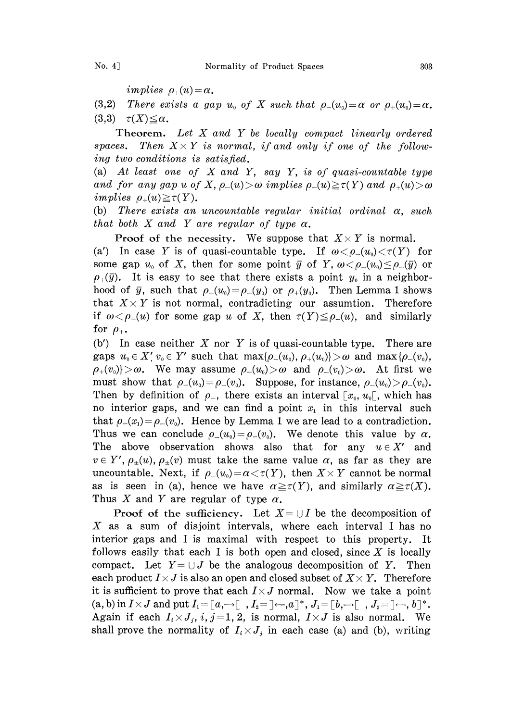implies  $\rho_+(u) = \alpha$ .

(3,2) There exists a gap  $u_0$  of X such that  $\rho_-(u_0) = \alpha$  or  $\rho_+(u_0) = \alpha$ .  $(3,3)$   $\tau(X) \leq \alpha$ .

Theorem. Let  $X$  and  $Y$  be locally compact linearly ordered spaces. Then  $X \times Y$  is normal, if and only if one of the following two conditions is satisfied.

(a) At least one of  $X$  and  $Y$ , say  $Y$ , is of quasi-countable type and for any gap u of X,  $\rho_-(u) > \omega$  implies  $\rho_-(u) \ge \tau(Y)$  and  $\rho_+(u) > \omega$ implies  $\rho_+(u) \geq \tau(Y)$ .

(b) There exists an uncountable regular initial ordinal  $\alpha$ , such that both X and Y are regular of type  $\alpha$ .

**Proof of the necessity.** We suppose that  $X \times Y$  is normal.

(a') In case Y is of quasi-countable type. If  $\omega < \rho_-(u_0) < \tau(Y)$  for some gap  $u_0$  of X, then for some point  $\bar{y}$  of Y,  $\omega < \rho_-(u_0) \leq \rho_-(\bar{y})$  or  $\rho_+(\bar{y})$ . It is easy to see that there exists a point  $y_0$  in a neighborhood of  $\bar{y}$ , such that  $\rho_-(u_0) = \rho_-(y_0)$  or  $\rho_+(y_0)$ . Then Lemma 1 shows<br>that  $X \times Y$  is not normal, contradicting our assumtion. Therefore that  $X \times Y$  is not normal, contradicting our assumtion. Therefore if  $\omega < \rho_-(u)$  for some gap u of X, then  $\tau(Y) \leq \rho_-(u)$ , and similarly for  $\rho_{+}$ .

(b') In case neither X nor Y is of quasi-countable type. There are gaps  $u_0 \in X'$ ,  $v_0 \in Y'$  such that  $\max\{\rho_-(u_0), \rho_+(u_0)\} > \omega$  and  $\max\{\rho_-(v_0),$  $\rho_+(v_0)\rangle > \omega$ . We may assume  $\rho_-(u_0) > \omega$  and  $\rho_-(v_0) > \omega$ . At first we must show that  $\rho_-(u_0) = \rho_-(v_0)$ . Suppose, for instance,  $\rho_-(u_0) > \rho_-(v_0)$ . Then by definition of  $\rho_{-}$ , there exists an interval  $[x_0, u_0]$ , which has no interior gaps, and we can find a point  $x<sub>1</sub>$  in this interval such that  $\rho_-(x_1)=\rho_-(v_0)$ . Hence by Lemma 1 we are lead to a contradiction. Thus we can conclude  $\rho_-(u_0) = \rho_-(v_0)$ . We denote this value by  $\alpha$ . The above observation shows also that for any  $u \in X'$  and  $v \in Y', \rho_{\pm}(u), \rho_{\pm}(v)$  must take the same value  $\alpha$ , as far as they are uncountable. Next, if  $\rho_-(u_0) = \alpha \langle \tau(Y) \rangle$ , then  $X \times Y$  cannot be normal as is seen in (a), hence we have  $\alpha \geq \tau(Y)$ , and similarly  $\alpha \geq \tau(X)$ . Thus X and Y are regular of type  $\alpha$ .

**Proof** of the sufficiency. Let  $X = \bigcup I$  be the decomposition of X as a sum of disjoint intervals, where each interval I has no interior gaps and <sup>I</sup> is maximal with respect to this property. It follows easily that each I is both open and closed, since  $X$  is locally compact. Let  $Y = \cup J$  be the analogous decomposition of Y. Then each product  $I \times J$  is also an open and closed subset of  $X \times Y$ . Therefore it is sufficient to prove that each  $I \times J$  normal. Now we take a point  $(a, b)$  in  $I \times J$  and put  $I_1 = [a, \rightarrow [$ ,  $I_2 = ] \leftarrow, a]^*, J_1 = [b, \rightarrow [$ ,  $J_2 = ] \leftarrow, b]^*.$ Again if each  $I_i \times J_j$ ,  $i, j = 1, 2$ , is normal,  $I \times J$  is also normal. We shall prove the normality of  $I_i \times J_j$  in each case (a) and (b), writing